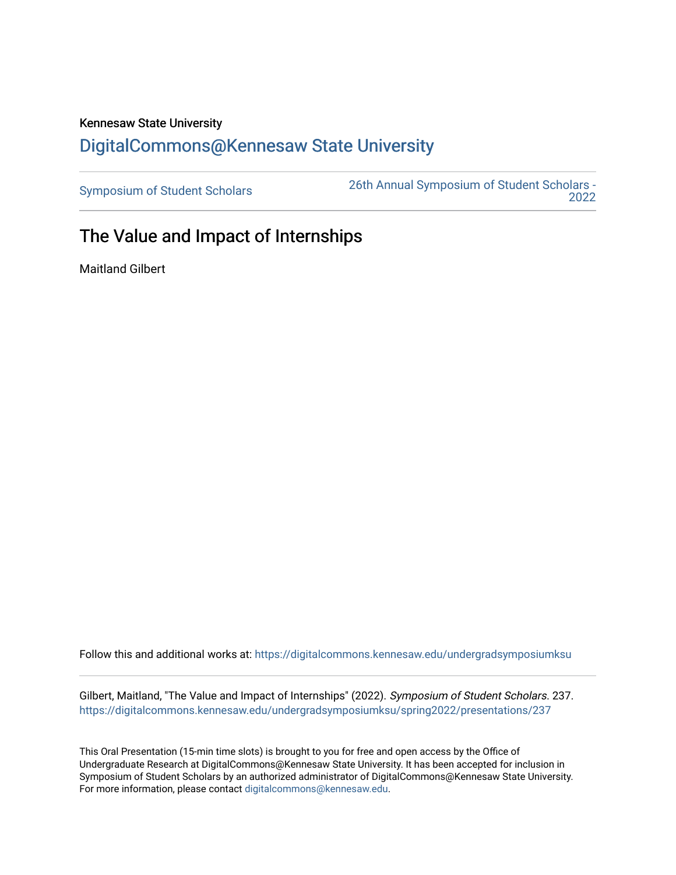## Kennesaw State University [DigitalCommons@Kennesaw State University](https://digitalcommons.kennesaw.edu/)

[Symposium of Student Scholars](https://digitalcommons.kennesaw.edu/undergradsymposiumksu) [26th Annual Symposium of Student Scholars -](https://digitalcommons.kennesaw.edu/undergradsymposiumksu/spring2022)  [2022](https://digitalcommons.kennesaw.edu/undergradsymposiumksu/spring2022) 

## The Value and Impact of Internships

Maitland Gilbert

Follow this and additional works at: [https://digitalcommons.kennesaw.edu/undergradsymposiumksu](https://digitalcommons.kennesaw.edu/undergradsymposiumksu?utm_source=digitalcommons.kennesaw.edu%2Fundergradsymposiumksu%2Fspring2022%2Fpresentations%2F237&utm_medium=PDF&utm_campaign=PDFCoverPages) 

Gilbert, Maitland, "The Value and Impact of Internships" (2022). Symposium of Student Scholars. 237. [https://digitalcommons.kennesaw.edu/undergradsymposiumksu/spring2022/presentations/237](https://digitalcommons.kennesaw.edu/undergradsymposiumksu/spring2022/presentations/237?utm_source=digitalcommons.kennesaw.edu%2Fundergradsymposiumksu%2Fspring2022%2Fpresentations%2F237&utm_medium=PDF&utm_campaign=PDFCoverPages)

This Oral Presentation (15-min time slots) is brought to you for free and open access by the Office of Undergraduate Research at DigitalCommons@Kennesaw State University. It has been accepted for inclusion in Symposium of Student Scholars by an authorized administrator of DigitalCommons@Kennesaw State University. For more information, please contact [digitalcommons@kennesaw.edu.](mailto:digitalcommons@kennesaw.edu)